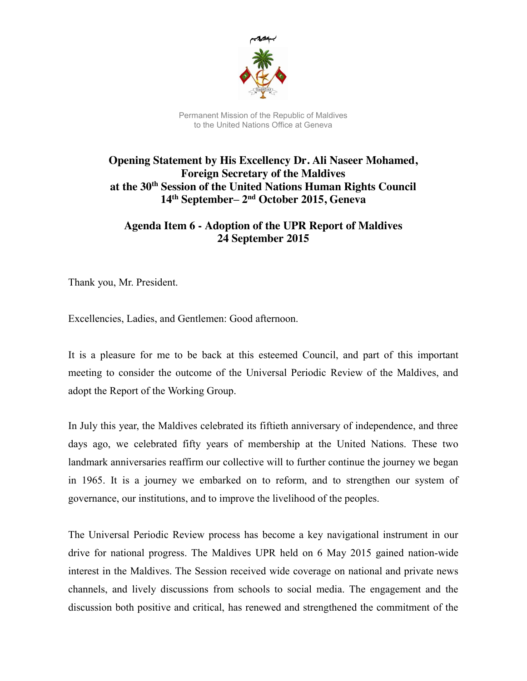

Permanent Mission of the Republic of Maldives to the United Nations Office at Geneva

## **Opening Statement by His Excellency Dr. Ali Naseer Mohamed, Foreign Secretary of the Maldives at the 30th Session of the United Nations Human Rights Council 14th September– 2nd October 2015, Geneva**

**Agenda Item 6 - Adoption of the UPR Report of Maldives 24 September 2015**

Thank you, Mr. President.

Excellencies, Ladies, and Gentlemen: Good afternoon.

It is a pleasure for me to be back at this esteemed Council, and part of this important meeting to consider the outcome of the Universal Periodic Review of the Maldives, and adopt the Report of the Working Group.

In July this year, the Maldives celebrated its fiftieth anniversary of independence, and three days ago, we celebrated fifty years of membership at the United Nations. These two landmark anniversaries reaffirm our collective will to further continue the journey we began in 1965. It is a journey we embarked on to reform, and to strengthen our system of governance, our institutions, and to improve the livelihood of the peoples.

The Universal Periodic Review process has become a key navigational instrument in our drive for national progress. The Maldives UPR held on 6 May 2015 gained nation-wide interest in the Maldives. The Session received wide coverage on national and private news channels, and lively discussions from schools to social media. The engagement and the discussion both positive and critical, has renewed and strengthened the commitment of the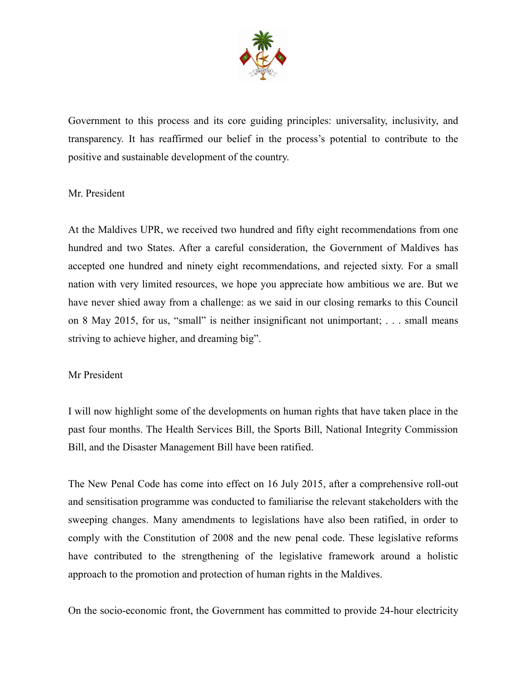

Government to this process and its core guiding principles: universality, inclusivity, and transparency. It has reaffirmed our belief in the process's potential to contribute to the positive and sustainable development of the country.

## Mr. President

At the Maldives UPR, we received two hundred and fifty eight recommendations from one hundred and two States. After a careful consideration, the Government of Maldives has accepted one hundred and ninety eight recommendations, and rejected sixty. For a small nation with very limited resources, we hope you appreciate how ambitious we are. But we have never shied away from a challenge: as we said in our closing remarks to this Council on 8 May 2015, for us, "small" is neither insignificant not unimportant; . . . small means striving to achieve higher, and dreaming big".

## Mr President

I will now highlight some of the developments on human rights that have taken place in the past four months. The Health Services Bill, the Sports Bill, National Integrity Commission Bill, and the Disaster Management Bill have been ratified.

The New Penal Code has come into effect on 16 July 2015, after a comprehensive roll-out and sensitisation programme was conducted to familiarise the relevant stakeholders with the sweeping changes. Many amendments to legislations have also been ratified, in order to comply with the Constitution of 2008 and the new penal code. These legislative reforms have contributed to the strengthening of the legislative framework around a holistic approach to the promotion and protection of human rights in the Maldives.

On the socio-economic front, the Government has committed to provide 24-hour electricity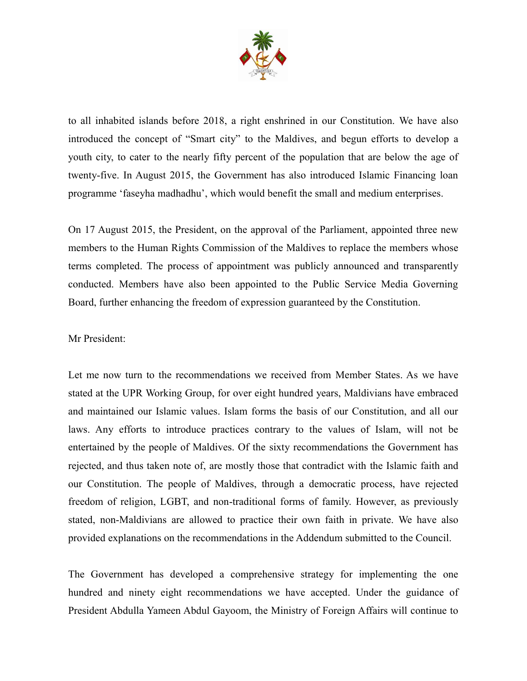

to all inhabited islands before 2018, a right enshrined in our Constitution. We have also introduced the concept of "Smart city" to the Maldives, and begun efforts to develop a youth city, to cater to the nearly fifty percent of the population that are below the age of twenty-five. In August 2015, the Government has also introduced Islamic Financing loan programme 'faseyha madhadhu', which would benefit the small and medium enterprises.

On 17 August 2015, the President, on the approval of the Parliament, appointed three new members to the Human Rights Commission of the Maldives to replace the members whose terms completed. The process of appointment was publicly announced and transparently conducted. Members have also been appointed to the Public Service Media Governing Board, further enhancing the freedom of expression guaranteed by the Constitution.

## Mr President:

Let me now turn to the recommendations we received from Member States. As we have stated at the UPR Working Group, for over eight hundred years, Maldivians have embraced and maintained our Islamic values. Islam forms the basis of our Constitution, and all our laws. Any efforts to introduce practices contrary to the values of Islam, will not be entertained by the people of Maldives. Of the sixty recommendations the Government has rejected, and thus taken note of, are mostly those that contradict with the Islamic faith and our Constitution. The people of Maldives, through a democratic process, have rejected freedom of religion, LGBT, and non-traditional forms of family. However, as previously stated, non-Maldivians are allowed to practice their own faith in private. We have also provided explanations on the recommendations in the Addendum submitted to the Council.

The Government has developed a comprehensive strategy for implementing the one hundred and ninety eight recommendations we have accepted. Under the guidance of President Abdulla Yameen Abdul Gayoom, the Ministry of Foreign Affairs will continue to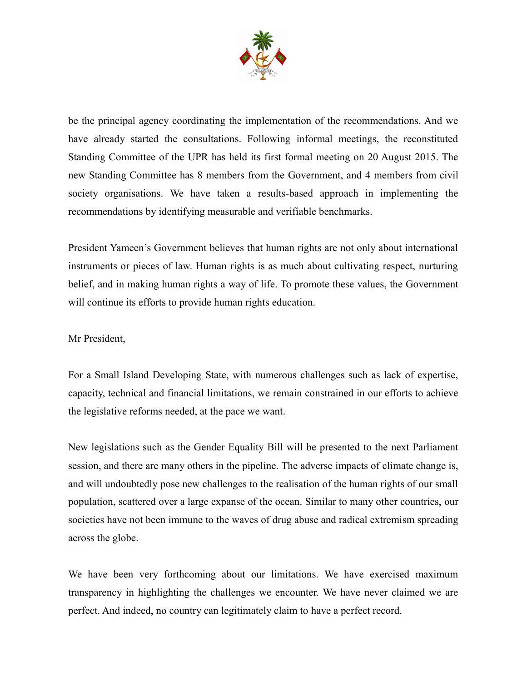

be the principal agency coordinating the implementation of the recommendations. And we have already started the consultations. Following informal meetings, the reconstituted Standing Committee of the UPR has held its first formal meeting on 20 August 2015. The new Standing Committee has 8 members from the Government, and 4 members from civil society organisations. We have taken a results-based approach in implementing the recommendations by identifying measurable and verifiable benchmarks.

President Yameen's Government believes that human rights are not only about international instruments or pieces of law. Human rights is as much about cultivating respect, nurturing belief, and in making human rights a way of life. To promote these values, the Government will continue its efforts to provide human rights education.

Mr President,

For a Small Island Developing State, with numerous challenges such as lack of expertise, capacity, technical and financial limitations, we remain constrained in our efforts to achieve the legislative reforms needed, at the pace we want.

New legislations such as the Gender Equality Bill will be presented to the next Parliament session, and there are many others in the pipeline. The adverse impacts of climate change is, and will undoubtedly pose new challenges to the realisation of the human rights of our small population, scattered over a large expanse of the ocean. Similar to many other countries, our societies have not been immune to the waves of drug abuse and radical extremism spreading across the globe.

We have been very forthcoming about our limitations. We have exercised maximum transparency in highlighting the challenges we encounter. We have never claimed we are perfect. And indeed, no country can legitimately claim to have a perfect record.